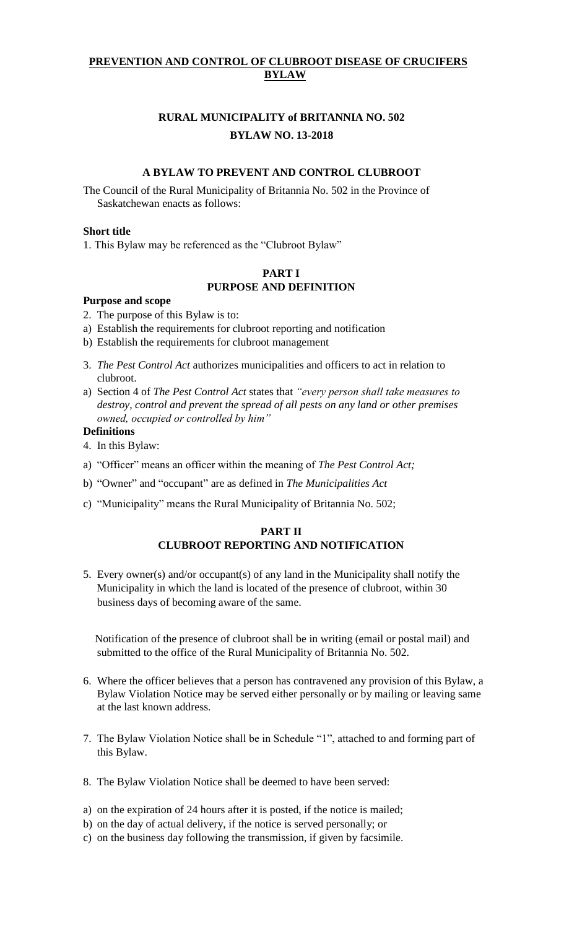## **PREVENTION AND CONTROL OF CLUBROOT DISEASE OF CRUCIFERS BYLAW**

## **RURAL MUNICIPALITY of BRITANNIA NO. 502 BYLAW NO. 13-2018**

#### **A BYLAW TO PREVENT AND CONTROL CLUBROOT**

The Council of the Rural Municipality of Britannia No. 502 in the Province of Saskatchewan enacts as follows:

#### **Short title**

1. This Bylaw may be referenced as the "Clubroot Bylaw"

## **PART I PURPOSE AND DEFINITION**

#### **Purpose and scope**

- 2. The purpose of this Bylaw is to:
- a) Establish the requirements for clubroot reporting and notification
- b) Establish the requirements for clubroot management
- 3. *The Pest Control Act* authorizes municipalities and officers to act in relation to clubroot.
- a) Section 4 of *The Pest Control Act* states that *"every person shall take measures to destroy, control and prevent the spread of all pests on any land or other premises owned, occupied or controlled by him"*

#### **Definitions**

- 4. In this Bylaw:
- a) "Officer" means an officer within the meaning of *The Pest Control Act;*
- b) "Owner" and "occupant" are as defined in *The Municipalities Act*
- c) "Municipality" means the Rural Municipality of Britannia No. 502;

#### **PART II CLUBROOT REPORTING AND NOTIFICATION**

5. Every owner(s) and/or occupant(s) of any land in the Municipality shall notify the Municipality in which the land is located of the presence of clubroot, within 30 business days of becoming aware of the same.

 Notification of the presence of clubroot shall be in writing (email or postal mail) and submitted to the office of the Rural Municipality of Britannia No. 502.

- 6. Where the officer believes that a person has contravened any provision of this Bylaw, a Bylaw Violation Notice may be served either personally or by mailing or leaving same at the last known address.
- 7. The Bylaw Violation Notice shall be in Schedule "1", attached to and forming part of this Bylaw.
- 8. The Bylaw Violation Notice shall be deemed to have been served:
- a) on the expiration of 24 hours after it is posted, if the notice is mailed;
- b) on the day of actual delivery, if the notice is served personally; or
- c) on the business day following the transmission, if given by facsimile.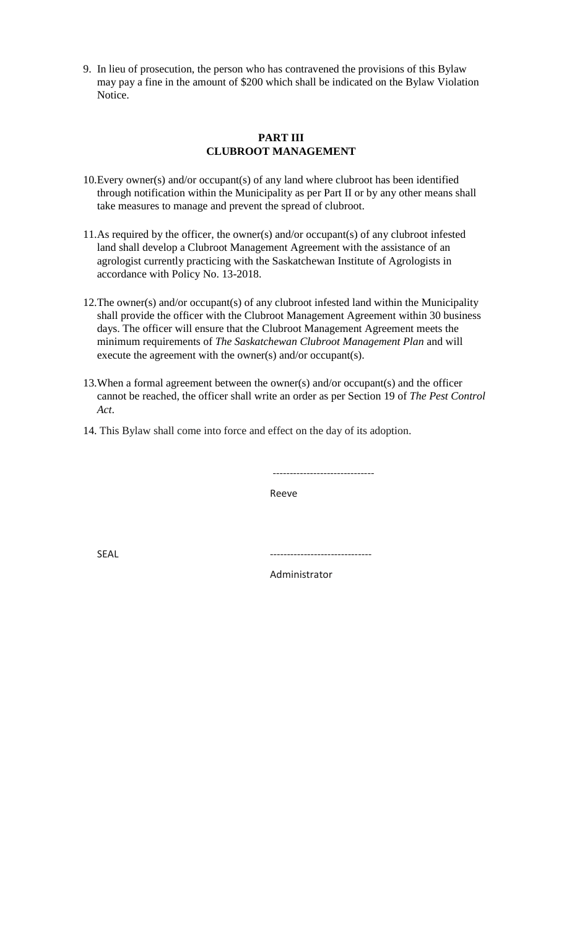9. In lieu of prosecution, the person who has contravened the provisions of this Bylaw may pay a fine in the amount of \$200 which shall be indicated on the Bylaw Violation Notice.

#### **PART III CLUBROOT MANAGEMENT**

- 10.Every owner(s) and/or occupant(s) of any land where clubroot has been identified through notification within the Municipality as per Part II or by any other means shall take measures to manage and prevent the spread of clubroot.
- 11.As required by the officer, the owner(s) and/or occupant(s) of any clubroot infested land shall develop a Clubroot Management Agreement with the assistance of an agrologist currently practicing with the Saskatchewan Institute of Agrologists in accordance with Policy No. 13-2018.
- 12.The owner(s) and/or occupant(s) of any clubroot infested land within the Municipality shall provide the officer with the Clubroot Management Agreement within 30 business days. The officer will ensure that the Clubroot Management Agreement meets the minimum requirements of *The Saskatchewan Clubroot Management Plan* and will execute the agreement with the owner(s) and/or occupant(s).
- 13.When a formal agreement between the owner(s) and/or occupant(s) and the officer cannot be reached, the officer shall write an order as per Section 19 of *The Pest Control Act*.
- 14. This Bylaw shall come into force and effect on the day of its adoption.

------------------------------

Reeve

SEAL ------------------------------

Administrator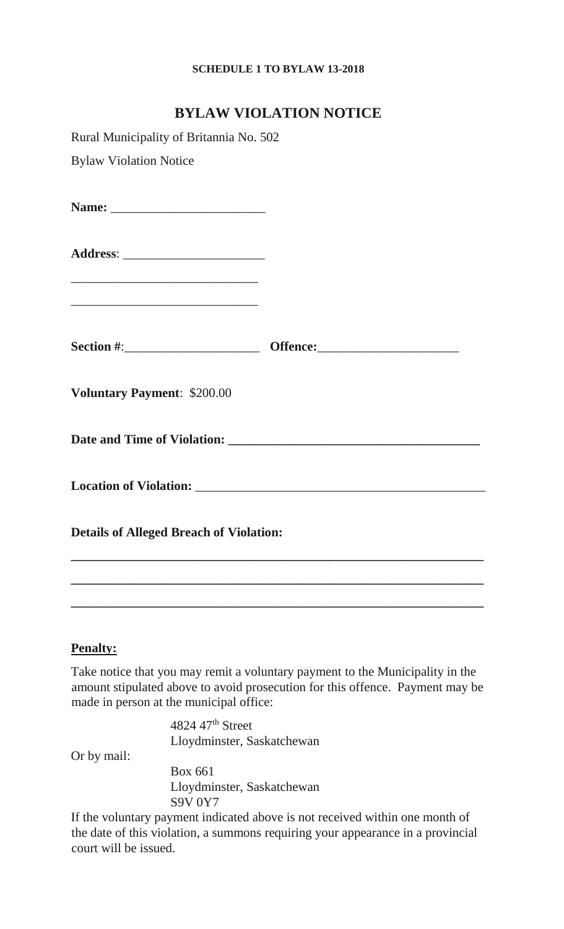## **SCHEDULE 1 TO BYLAW 13-2018**

# **BYLAW VIOLATION NOTICE**

| Rural Municipality of Britannia No. 502                                                                              |  |
|----------------------------------------------------------------------------------------------------------------------|--|
| <b>Bylaw Violation Notice</b>                                                                                        |  |
|                                                                                                                      |  |
|                                                                                                                      |  |
| <u> 2002 - Jan James James James James James James James James James James James James James James James James J</u> |  |
|                                                                                                                      |  |
| <b>Voluntary Payment: \$200.00</b>                                                                                   |  |
|                                                                                                                      |  |
|                                                                                                                      |  |
| <b>Details of Alleged Breach of Violation:</b>                                                                       |  |
|                                                                                                                      |  |
|                                                                                                                      |  |

## **Penalty:**

Take notice that you may remit a voluntary payment to the Municipality in the amount stipulated above to avoid prosecution for this offence. Payment may be made in person at the municipal office:

> 4824 47th Street Lloydminster, Saskatchewan

Or by mail:

Box 661 Lloydminster, Saskatchewan S9V 0Y7

If the voluntary payment indicated above is not received within one month of the date of this violation, a summons requiring your appearance in a provincial court will be issued.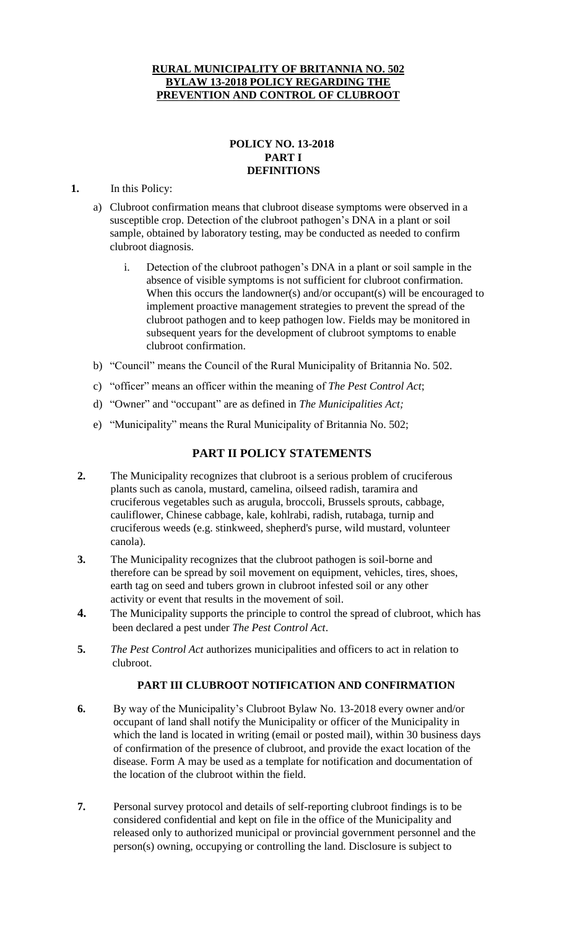### **RURAL MUNICIPALITY OF BRITANNIA NO. 502 BYLAW 13-2018 POLICY REGARDING THE PREVENTION AND CONTROL OF CLUBROOT**

## **POLICY NO. 13-2018 PART I DEFINITIONS**

### **1.** In this Policy:

- a) Clubroot confirmation means that clubroot disease symptoms were observed in a susceptible crop. Detection of the clubroot pathogen's DNA in a plant or soil sample, obtained by laboratory testing, may be conducted as needed to confirm clubroot diagnosis.
	- i. Detection of the clubroot pathogen's DNA in a plant or soil sample in the absence of visible symptoms is not sufficient for clubroot confirmation. When this occurs the landowner(s) and/or occupant(s) will be encouraged to implement proactive management strategies to prevent the spread of the clubroot pathogen and to keep pathogen low. Fields may be monitored in subsequent years for the development of clubroot symptoms to enable clubroot confirmation.
- b) "Council" means the Council of the Rural Municipality of Britannia No. 502.
- c) "officer" means an officer within the meaning of *The Pest Control Act*;
- d) "Owner" and "occupant" are as defined in *The Municipalities Act;*
- e) "Municipality" means the Rural Municipality of Britannia No. 502;

## **PART II POLICY STATEMENTS**

- **2.** The Municipality recognizes that clubroot is a serious problem of cruciferous plants such as canola, mustard, camelina, oilseed radish, taramira and cruciferous vegetables such as arugula, broccoli, Brussels sprouts, cabbage, cauliflower, Chinese cabbage, kale, kohlrabi, radish, rutabaga, turnip and cruciferous weeds (e.g. stinkweed, shepherd's purse, wild mustard, volunteer canola).
- **3.** The Municipality recognizes that the clubroot pathogen is soil-borne and therefore can be spread by soil movement on equipment, vehicles, tires, shoes, earth tag on seed and tubers grown in clubroot infested soil or any other activity or event that results in the movement of soil.
- **4.** The Municipality supports the principle to control the spread of clubroot, which has been declared a pest under *The Pest Control Act*.
- **5.** *The Pest Control Act* authorizes municipalities and officers to act in relation to clubroot.

## **PART III CLUBROOT NOTIFICATION AND CONFIRMATION**

- **6.** By way of the Municipality's Clubroot Bylaw No. 13-2018 every owner and/or occupant of land shall notify the Municipality or officer of the Municipality in which the land is located in writing (email or posted mail), within 30 business days of confirmation of the presence of clubroot, and provide the exact location of the disease. Form A may be used as a template for notification and documentation of the location of the clubroot within the field.
- **7.** Personal survey protocol and details of self-reporting clubroot findings is to be considered confidential and kept on file in the office of the Municipality and released only to authorized municipal or provincial government personnel and the person(s) owning, occupying or controlling the land. Disclosure is subject to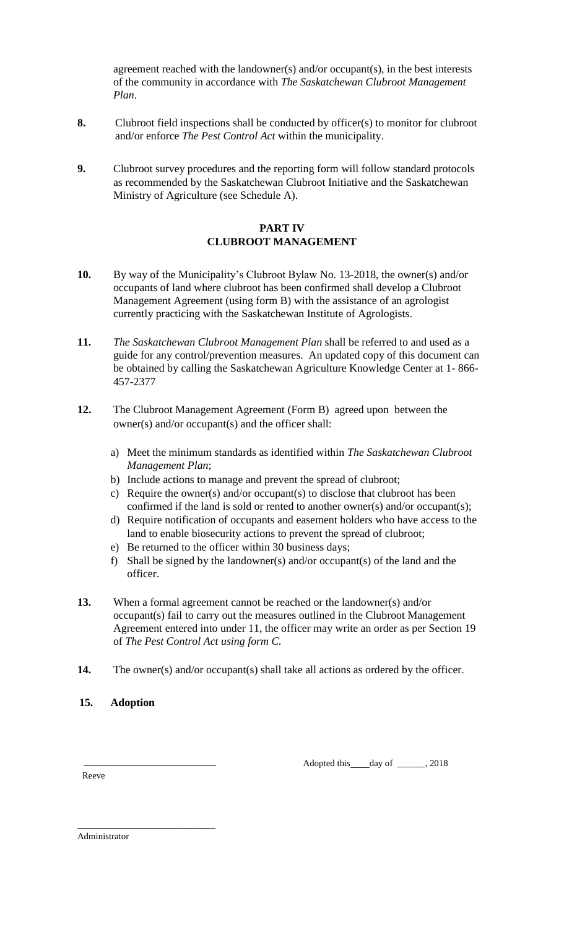agreement reached with the landowner(s) and/or occupant(s), in the best interests of the community in accordance with *The Saskatchewan Clubroot Management Plan*.

- **8.** Clubroot field inspections shall be conducted by officer(s) to monitor for clubroot and/or enforce *The Pest Control Act* within the municipality.
- **9.** Clubroot survey procedures and the reporting form will follow standard protocols as recommended by the Saskatchewan Clubroot Initiative and the Saskatchewan Ministry of Agriculture (see Schedule A).

## **PART IV CLUBROOT MANAGEMENT**

- **10.** By way of the Municipality's Clubroot Bylaw No. 13-2018, the owner(s) and/or occupants of land where clubroot has been confirmed shall develop a Clubroot Management Agreement (using form B) with the assistance of an agrologist currently practicing with the Saskatchewan Institute of Agrologists.
- **11.** *The Saskatchewan Clubroot Management Plan* shall be referred to and used as a guide for any control/prevention measures. An updated copy of this document can be obtained by calling the Saskatchewan Agriculture Knowledge Center at 1- 866- 457-2377
- **12.** The Clubroot Management Agreement (Form B) agreed upon between the owner(s) and/or occupant(s) and the officer shall:
	- a) Meet the minimum standards as identified within *The Saskatchewan Clubroot Management Plan*;
	- b) Include actions to manage and prevent the spread of clubroot;
	- c) Require the owner(s) and/or occupant(s) to disclose that clubroot has been confirmed if the land is sold or rented to another owner(s) and/or occupant(s);
	- d) Require notification of occupants and easement holders who have access to the land to enable biosecurity actions to prevent the spread of clubroot;
	- e) Be returned to the officer within 30 business days;
	- f) Shall be signed by the landowner(s) and/or occupant(s) of the land and the officer.
- **13.** When a formal agreement cannot be reached or the landowner(s) and/or occupant(s) fail to carry out the measures outlined in the Clubroot Management Agreement entered into under 11, the officer may write an order as per Section 19 of *The Pest Control Act using form C.*
- **14.** The owner(s) and/or occupant(s) shall take all actions as ordered by the officer.
- **15. Adoption**

Adopted this day of \_\_\_\_\_, 2018

Reeve

Administrator

\_\_\_\_\_\_\_\_\_\_\_\_\_\_\_\_\_\_\_\_\_\_\_\_\_\_\_\_\_\_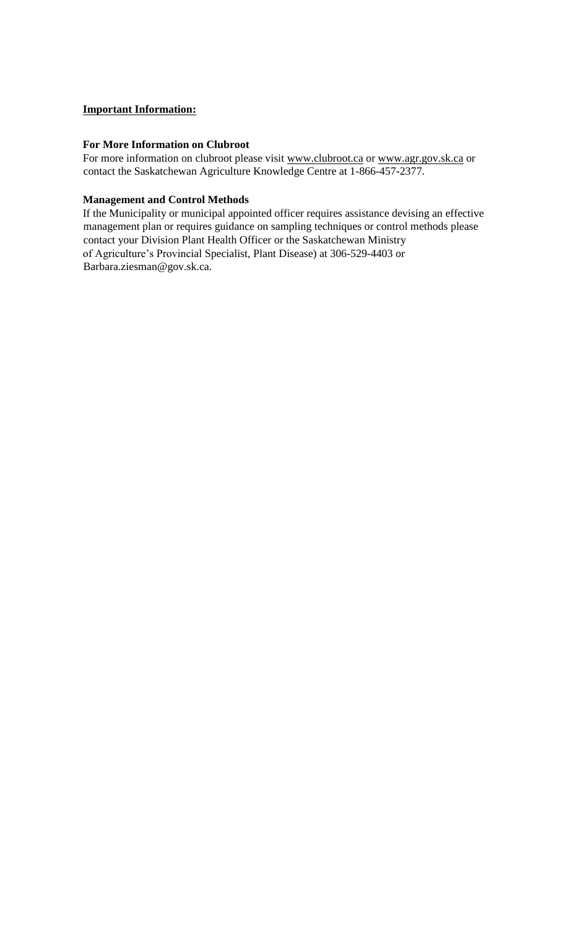## **Important Information:**

#### **For More Information on Clubroot**

For more information on clubroot please visit [www.clubroot.ca](http://www.clubroot.ca/) [or](http://www.clubroot.ca/) [www.agr.gov.sk.ca](http://www.agr.gov.sk.ca/) [or](http://www.agr.gov.sk.ca/) contact the Saskatchewan Agriculture Knowledge Centre at 1-866-457-2377.

#### **Management and Control Methods**

If the Municipality or municipal appointed officer requires assistance devising an effective management plan or requires guidance on sampling techniques or control methods please contact your Division Plant Health Officer or the Saskatchewan Ministry of Agriculture's Provincial Specialist, Plant Disease) at 306-529-4403 or Barbara.ziesman@gov.sk.ca.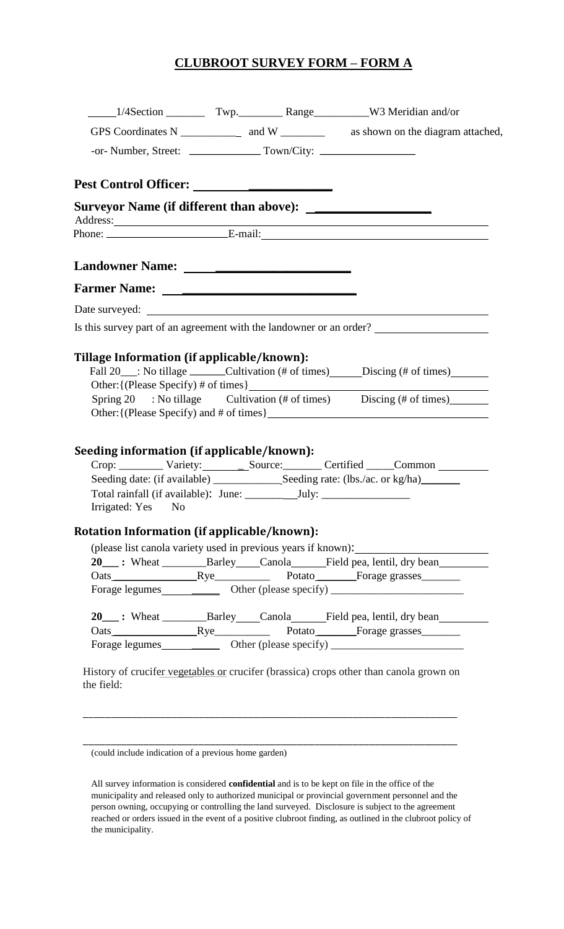## **CLUBROOT SURVEY FORM – FORM A**

|                                             |                                                                                            | Address: <u>and the same of the same of the same of the same of the same of the same of the same of the same of the same of the same of the same of the same of the same of the same of the same of the same of the same of the </u> |
|---------------------------------------------|--------------------------------------------------------------------------------------------|--------------------------------------------------------------------------------------------------------------------------------------------------------------------------------------------------------------------------------------|
|                                             |                                                                                            |                                                                                                                                                                                                                                      |
|                                             |                                                                                            |                                                                                                                                                                                                                                      |
|                                             |                                                                                            |                                                                                                                                                                                                                                      |
|                                             |                                                                                            | Is this survey part of an agreement with the landowner or an order?                                                                                                                                                                  |
|                                             | Fall 20___: No tillage _______Cultivation (# of times) ______Discing (# of times) ________ |                                                                                                                                                                                                                                      |
| Seeding information (if applicable/known):  |                                                                                            | Spring 20 : No tillage Cultivation (# of times) Discing (# of times)<br>Crop: Variety: Source: Certified Common                                                                                                                      |
| Irrigated: Yes No                           |                                                                                            |                                                                                                                                                                                                                                      |
| Rotation Information (if applicable/known): |                                                                                            |                                                                                                                                                                                                                                      |
|                                             |                                                                                            | (please list canola variety used in previous years if known):                                                                                                                                                                        |
|                                             |                                                                                            | 20___: Wheat ___________Barley _____Canola _______Field pea, lentil, dry bean _________                                                                                                                                              |
|                                             |                                                                                            |                                                                                                                                                                                                                                      |
|                                             |                                                                                            |                                                                                                                                                                                                                                      |
|                                             |                                                                                            | 20 ____: Wheat _________________Barley ______Canola _____________________________                                                                                                                                                    |

\_\_\_\_\_\_\_\_\_\_\_\_\_\_\_\_\_\_\_\_\_\_\_\_\_\_\_\_\_\_\_\_\_\_\_\_\_\_\_\_\_\_\_\_\_\_\_\_\_\_\_\_\_\_\_\_\_\_\_\_\_\_\_\_\_\_\_\_

<sup>(</sup>could include indication of a previous home garden)

All survey information is considered **confidential** and is to be kept on file in the office of the municipality and released only to authorized municipal or provincial government personnel and the person owning, occupying or controlling the land surveyed. Disclosure is subject to the agreement reached or orders issued in the event of a positive clubroot finding, as outlined in the clubroot policy of the municipality.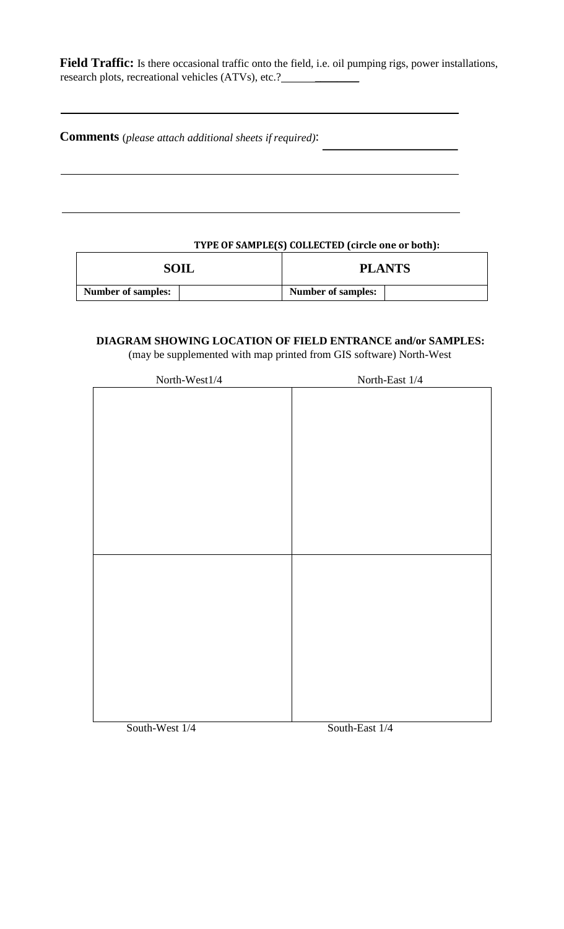**Field Traffic:** Is there occasional traffic onto the field, i.e. oil pumping rigs, power installations, research plots, recreational vehicles (ATVs), etc.? \_\_\_\_\_\_\_\_\_\_\_\_\_\_\_\_\_\_\_\_\_\_\_\_\_\_\_\_\_

**Comments** (*please attach additional sheets if required)*:

## **TYPE OF SAMPLE(S) COLLECTED (circle one or both):**

| SOIL                      |  |                           | <b>PLANTS</b> |
|---------------------------|--|---------------------------|---------------|
| <b>Number of samples:</b> |  | <b>Number of samples:</b> |               |

## **DIAGRAM SHOWING LOCATION OF FIELD ENTRANCE and/or SAMPLES:** (may be supplemented with map printed from GIS software) North-West

| North-West1/4 | North-East $1/4\,$ |
|---------------|--------------------|
|               |                    |
|               |                    |
|               |                    |
|               |                    |
|               |                    |
|               |                    |
|               |                    |
|               |                    |
|               |                    |
|               |                    |
|               |                    |
|               |                    |
|               |                    |
|               |                    |
|               |                    |
|               |                    |
|               |                    |
|               |                    |
|               |                    |
|               |                    |
|               |                    |
|               |                    |
|               |                    |

South-West  $1/4$  South-East  $1/4$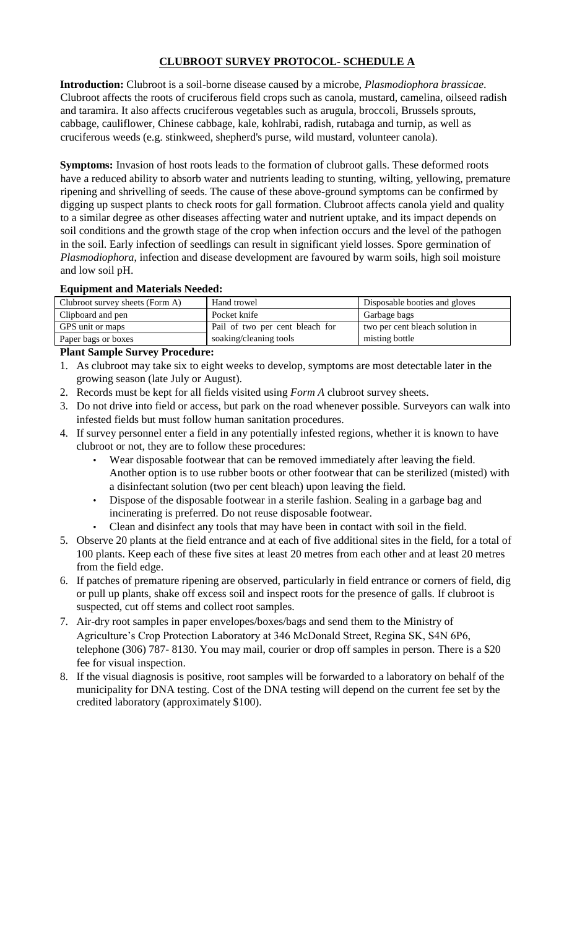## **CLUBROOT SURVEY PROTOCOL- SCHEDULE A**

**Introduction:** Clubroot is a soil-borne disease caused by a microbe, *Plasmodiophora brassicae*. Clubroot affects the roots of cruciferous field crops such as canola, mustard, camelina, oilseed radish and taramira. It also affects cruciferous vegetables such as arugula, broccoli, Brussels sprouts, cabbage, cauliflower, Chinese cabbage, kale, kohlrabi, radish, rutabaga and turnip, as well as cruciferous weeds (e.g. stinkweed, shepherd's purse, wild mustard, volunteer canola).

**Symptoms:** Invasion of host roots leads to the formation of clubroot galls. These deformed roots have a reduced ability to absorb water and nutrients leading to stunting, wilting, yellowing, premature ripening and shrivelling of seeds. The cause of these above-ground symptoms can be confirmed by digging up suspect plants to check roots for gall formation. Clubroot affects canola yield and quality to a similar degree as other diseases affecting water and nutrient uptake, and its impact depends on soil conditions and the growth stage of the crop when infection occurs and the level of the pathogen in the soil. Early infection of seedlings can result in significant yield losses. Spore germination of *Plasmodiophora*, infection and disease development are favoured by warm soils, high soil moisture and low soil pH.

#### **Equipment and Materials Needed:**

| Clubroot survey sheets (Form A) | Hand trowel                     | Disposable booties and gloves   |
|---------------------------------|---------------------------------|---------------------------------|
| Clipboard and pen               | Pocket knife                    | Garbage bags                    |
| GPS unit or maps                | Pail of two per cent bleach for | two per cent bleach solution in |
| Paper bags or boxes             | soaking/cleaning tools          | misting bottle                  |
|                                 |                                 |                                 |

## **Plant Sample Survey Procedure:**

- 1. As clubroot may take six to eight weeks to develop, symptoms are most detectable later in the growing season (late July or August).
- 2. Records must be kept for all fields visited using *Form A* clubroot survey sheets.
- 3. Do not drive into field or access, but park on the road whenever possible. Surveyors can walk into infested fields but must follow human sanitation procedures.
- 4. If survey personnel enter a field in any potentially infested regions, whether it is known to have clubroot or not, they are to follow these procedures:
	- Wear disposable footwear that can be removed immediately after leaving the field. Another option is to use rubber boots or other footwear that can be sterilized (misted) with a disinfectant solution (two per cent bleach) upon leaving the field.
	- Dispose of the disposable footwear in a sterile fashion. Sealing in a garbage bag and incinerating is preferred. Do not reuse disposable footwear.
	- Clean and disinfect any tools that may have been in contact with soil in the field.
- 5. Observe 20 plants at the field entrance and at each of five additional sites in the field, for a total of 100 plants. Keep each of these five sites at least 20 metres from each other and at least 20 metres from the field edge.
- 6. If patches of premature ripening are observed, particularly in field entrance or corners of field, dig or pull up plants, shake off excess soil and inspect roots for the presence of galls. If clubroot is suspected, cut off stems and collect root samples.
- 7. Air-dry root samples in paper envelopes/boxes/bags and send them to the Ministry of Agriculture's Crop Protection Laboratory at 346 McDonald Street, Regina SK, S4N 6P6, telephone (306) 787- 8130. You may mail, courier or drop off samples in person. There is a \$20 fee for visual inspection.
- 8. If the visual diagnosis is positive, root samples will be forwarded to a laboratory on behalf of the municipality for DNA testing. Cost of the DNA testing will depend on the current fee set by the credited laboratory (approximately \$100).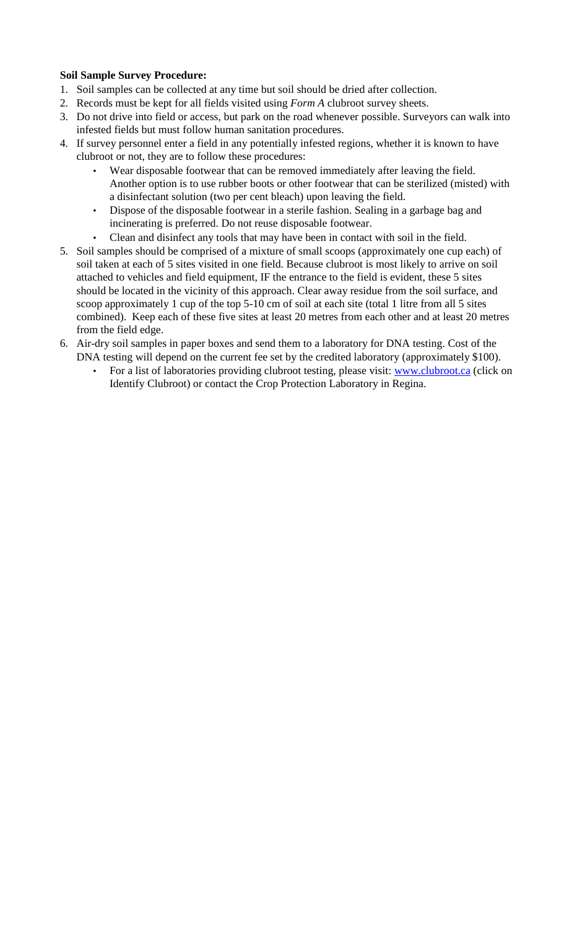### **Soil Sample Survey Procedure:**

- 1. Soil samples can be collected at any time but soil should be dried after collection.
- 2. Records must be kept for all fields visited using *Form A* clubroot survey sheets.
- 3. Do not drive into field or access, but park on the road whenever possible. Surveyors can walk into infested fields but must follow human sanitation procedures.
- 4. If survey personnel enter a field in any potentially infested regions, whether it is known to have clubroot or not, they are to follow these procedures:
	- Wear disposable footwear that can be removed immediately after leaving the field. Another option is to use rubber boots or other footwear that can be sterilized (misted) with a disinfectant solution (two per cent bleach) upon leaving the field.
	- Dispose of the disposable footwear in a sterile fashion. Sealing in a garbage bag and incinerating is preferred. Do not reuse disposable footwear.
	- Clean and disinfect any tools that may have been in contact with soil in the field.
- 5. Soil samples should be comprised of a mixture of small scoops (approximately one cup each) of soil taken at each of 5 sites visited in one field. Because clubroot is most likely to arrive on soil attached to vehicles and field equipment, IF the entrance to the field is evident, these 5 sites should be located in the vicinity of this approach. Clear away residue from the soil surface, and scoop approximately 1 cup of the top 5-10 cm of soil at each site (total 1 litre from all 5 sites combined). Keep each of these five sites at least 20 metres from each other and at least 20 metres from the field edge.
- 6. Air-dry soil samples in paper boxes and send them to a laboratory for DNA testing. Cost of the DNA testing will depend on the current fee set by the credited laboratory (approximately \$100).
	- For a list of laboratories providing clubroot testing, please visit[:](http://www.clubroot.ca/) [www.clubroot.ca](http://www.clubroot.ca/) [\(c](http://www.clubroot.ca/)lick on Identify Clubroot) or contact the Crop Protection Laboratory in Regina.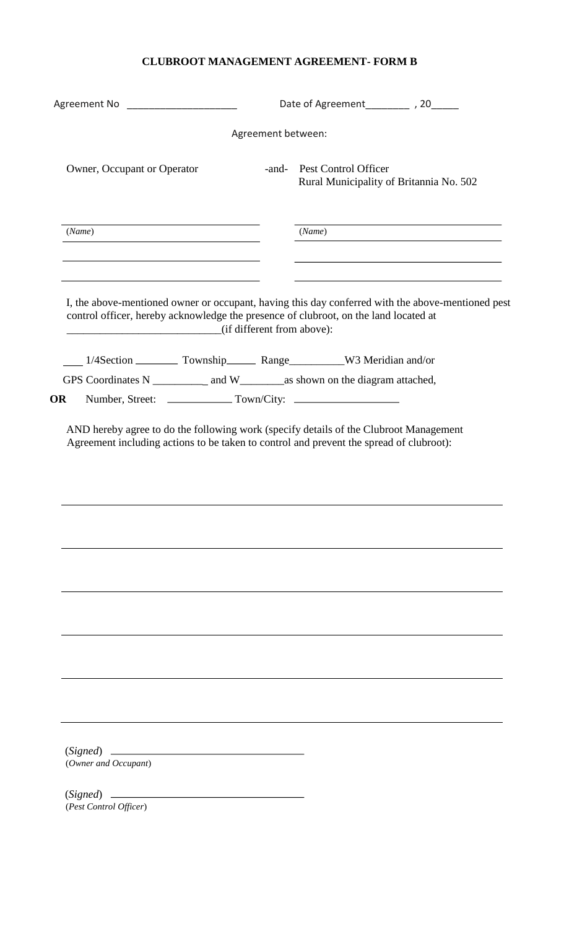## **CLUBROOT MANAGEMENT AGREEMENT- FORM B**

| Agreement No ______________________                                                                                |                    |                                                                                                   |
|--------------------------------------------------------------------------------------------------------------------|--------------------|---------------------------------------------------------------------------------------------------|
|                                                                                                                    | Agreement between: |                                                                                                   |
| Owner, Occupant or Operator                                                                                        | -and-              | <b>Pest Control Officer</b><br>Rural Municipality of Britannia No. 502                            |
| (Name)                                                                                                             |                    | (Name)                                                                                            |
| control officer, hereby acknowledge the presence of clubroot, on the land located at<br>(if different from above): |                    | I, the above-mentioned owner or occupant, having this day conferred with the above-mentioned pest |
| 1/4Section — Township Range W3 Meridian and/or                                                                     |                    |                                                                                                   |
| GPS Coordinates N ____________ and W___________ as shown on the diagram attached,                                  |                    |                                                                                                   |
| OR                                                                                                                 |                    |                                                                                                   |
|                                                                                                                    |                    |                                                                                                   |
|                                                                                                                    |                    |                                                                                                   |
|                                                                                                                    |                    |                                                                                                   |
|                                                                                                                    |                    |                                                                                                   |
| (Owner and Occupant)                                                                                               |                    |                                                                                                   |
| (Pest Control Officer)                                                                                             |                    |                                                                                                   |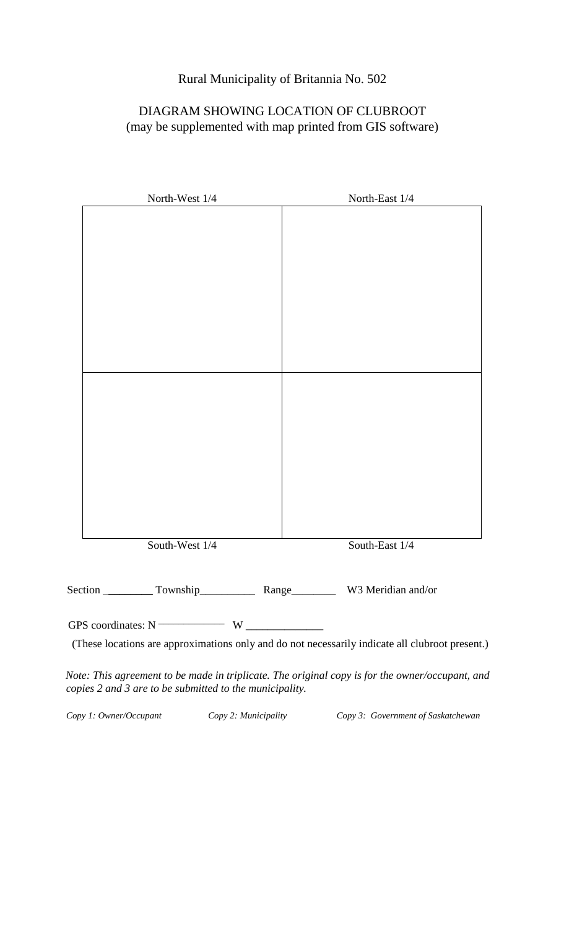## Rural Municipality of Britannia No. 502

## DIAGRAM SHOWING LOCATION OF CLUBROOT (may be supplemented with map printed from GIS software)

| North-West 1/4                         | North-East 1/4 |
|----------------------------------------|----------------|
|                                        |                |
|                                        |                |
|                                        |                |
|                                        |                |
|                                        |                |
|                                        |                |
|                                        |                |
|                                        |                |
|                                        |                |
|                                        |                |
|                                        |                |
|                                        |                |
|                                        |                |
|                                        |                |
|                                        |                |
|                                        |                |
| South-West 1/4                         | South-East 1/4 |
|                                        |                |
|                                        |                |
|                                        |                |
| GPS coordinates: $N \longrightarrow W$ |                |

(These locations are approximations only and do not necessarily indicate all clubroot present.)

*Note: This agreement to be made in triplicate. The original copy is for the owner/occupant, and copies 2 and 3 are to be submitted to the municipality.* 

*Copy 1: Owner/Occupant Copy 2: Municipality Copy 3: Government of Saskatchewan*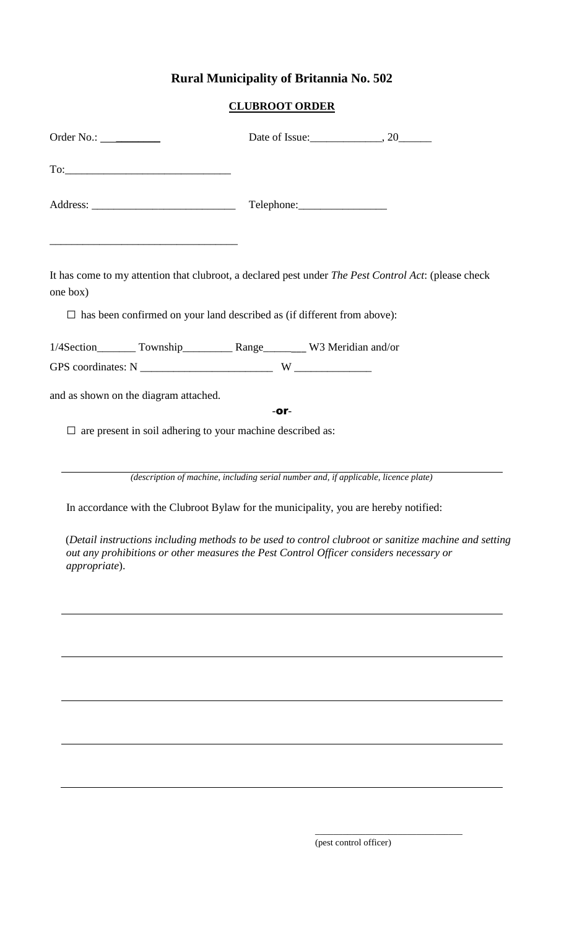## **Rural Municipality of Britannia No. 502**

## **CLUBROOT ORDER**

| $To: \begin{tabular}{ c c c c } \hline \rule{0.3cm}{.01cm} \rule{0.3cm}{.01cm} \rule{0.3cm}{.01cm} \rule{0.3cm}{.01cm} \rule{0.3cm}{.01cm} \rule{0.3cm}{.01cm} \rule{0.3cm}{.01cm} \rule{0.3cm}{.01cm} \rule{0.3cm}{.01cm} \rule{0.3cm}{.01cm} \rule{0.3cm}{.01cm} \rule{0.3cm}{.01cm} \rule{0.3cm}{.01cm} \rule{0.3cm}{.01cm} \rule{0.3cm}{.01cm} \rule{0$ |      |  |
|-------------------------------------------------------------------------------------------------------------------------------------------------------------------------------------------------------------------------------------------------------------------------------------------------------------------------------------------------------------|------|--|
|                                                                                                                                                                                                                                                                                                                                                             |      |  |
| It has come to my attention that clubroot, a declared pest under The Pest Control Act: (please check<br>one box)<br>$\Box$ has been confirmed on your land described as (if different from above):                                                                                                                                                          |      |  |
| 1/4Section_________ Township_____________ Range__________ W3 Meridian and/or                                                                                                                                                                                                                                                                                |      |  |
|                                                                                                                                                                                                                                                                                                                                                             |      |  |
| and as shown on the diagram attached.                                                                                                                                                                                                                                                                                                                       |      |  |
|                                                                                                                                                                                                                                                                                                                                                             | -or- |  |
| $\Box$ are present in soil adhering to your machine described as:                                                                                                                                                                                                                                                                                           |      |  |
|                                                                                                                                                                                                                                                                                                                                                             |      |  |
| (description of machine, including serial number and, if applicable, licence plate)                                                                                                                                                                                                                                                                         |      |  |

In accordance with the Clubroot Bylaw for the municipality, you are hereby notified:

(*Detail instructions including methods to be used to control clubroot or sanitize machine and setting out any prohibitions or other measures the Pest Control Officer considers necessary or appropriate*).

(pest control officer)

\_\_\_\_\_\_\_\_\_\_\_\_\_\_\_\_\_\_\_\_\_\_\_\_\_\_\_\_\_\_\_\_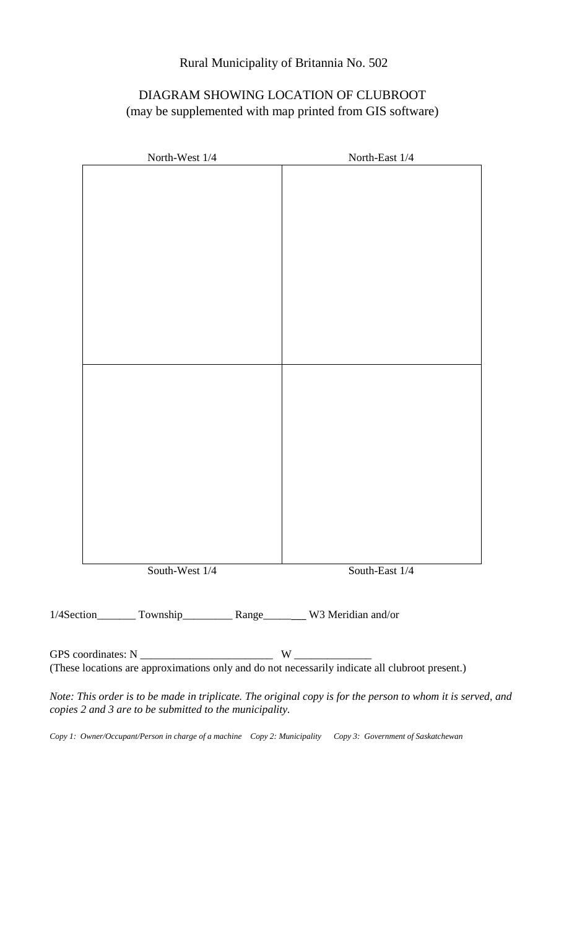## Rural Municipality of Britannia No. 502

## DIAGRAM SHOWING LOCATION OF CLUBROOT (may be supplemented with map printed from GIS software)

| North-West 1/4 | North-East 1/4                                                                                                                               |  |
|----------------|----------------------------------------------------------------------------------------------------------------------------------------------|--|
|                |                                                                                                                                              |  |
|                |                                                                                                                                              |  |
|                |                                                                                                                                              |  |
|                |                                                                                                                                              |  |
|                |                                                                                                                                              |  |
|                |                                                                                                                                              |  |
|                |                                                                                                                                              |  |
|                |                                                                                                                                              |  |
|                |                                                                                                                                              |  |
|                |                                                                                                                                              |  |
|                |                                                                                                                                              |  |
|                |                                                                                                                                              |  |
|                |                                                                                                                                              |  |
|                |                                                                                                                                              |  |
|                |                                                                                                                                              |  |
|                |                                                                                                                                              |  |
| South-West 1/4 | South-East 1/4                                                                                                                               |  |
|                |                                                                                                                                              |  |
|                | 1/4Section________ Township____________ Range__________ W3 Meridian and/or                                                                   |  |
|                |                                                                                                                                              |  |
|                | GPS coordinates: $N \_$ W $\_$ W $\_$ W $\_$ (These locations are approximations only and do not necessarily indicate all clubroot present.) |  |

*Note: This order is to be made in triplicate. The original copy is for the person to whom it is served, and copies 2 and 3 are to be submitted to the municipality.* 

*Copy 1: Owner/Occupant/Person in charge of a machine Copy 2: Municipality Copy 3: Government of Saskatchewan*